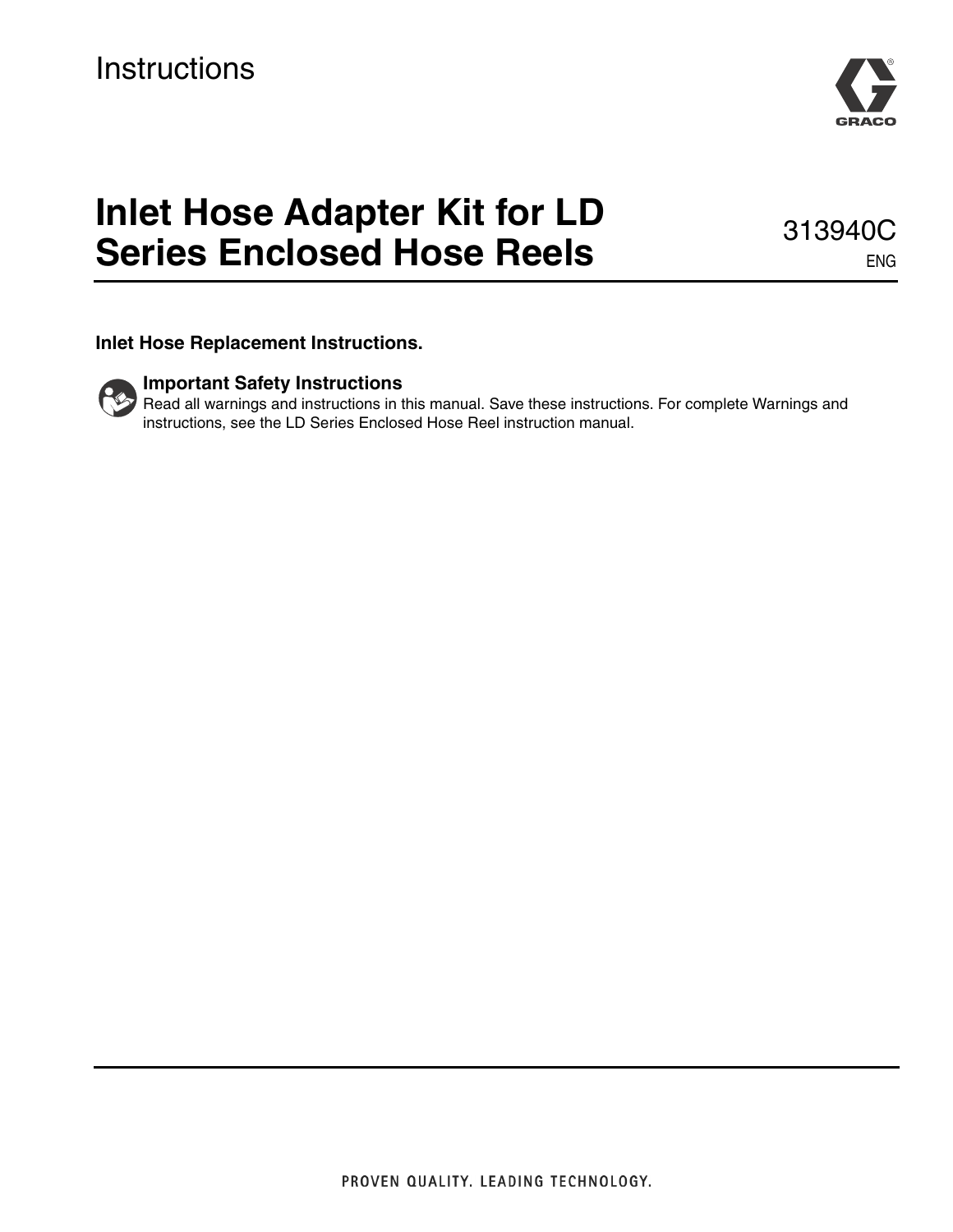

# **Inlet Hose Adapter Kit for LD Series Enclosed Hose Reels**

313940C ENG

**Inlet Hose Replacement Instructions.**

# **Important Safety Instructions**

Read all warnings and instructions in this manual. Save these instructions. For complete Warnings and instructions, see the LD Series Enclosed Hose Reel instruction manual.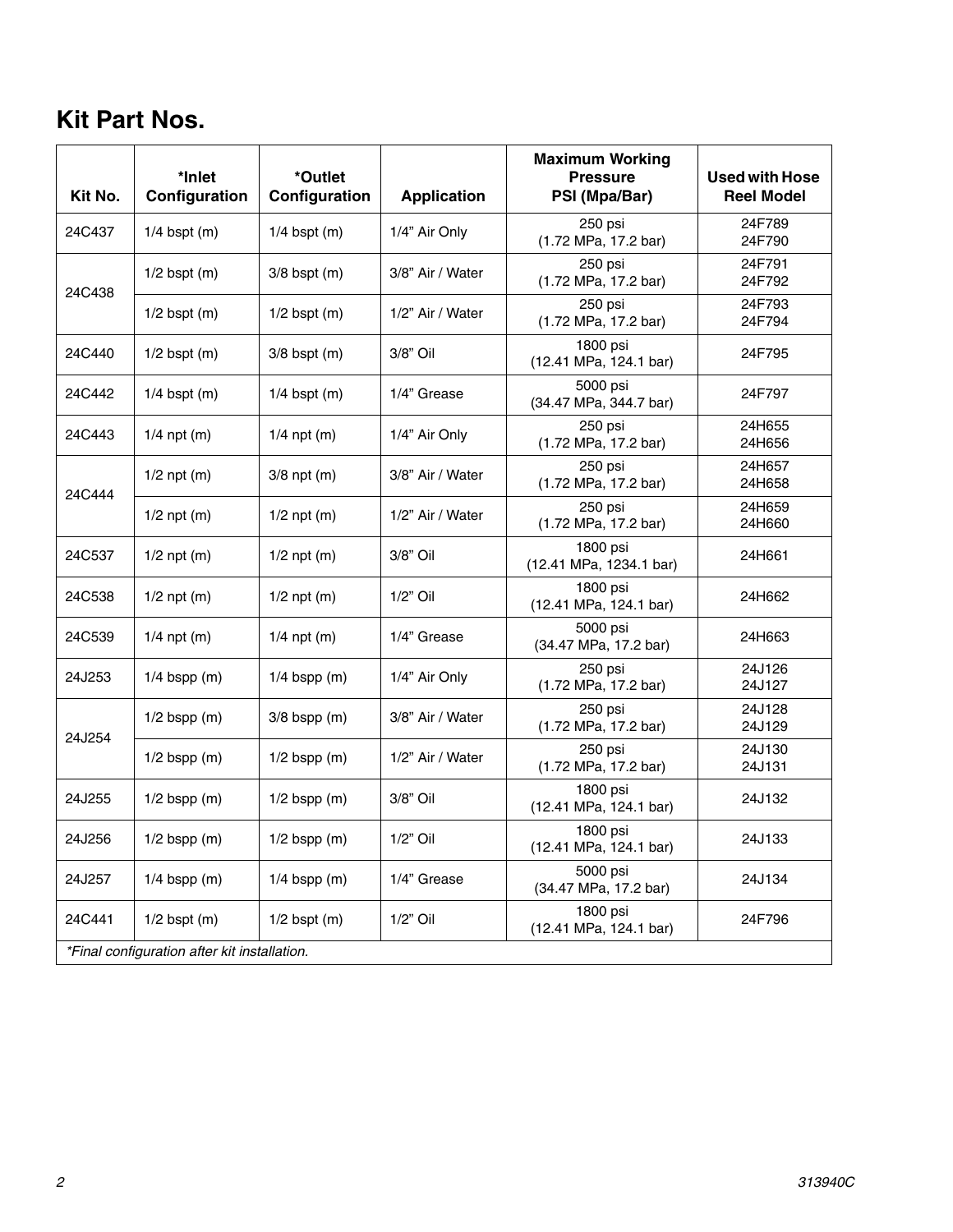# **Kit Part Nos.**

| Kit No.                                      | *Inlet<br>Configuration | *Outlet<br>Configuration | <b>Application</b> | <b>Maximum Working</b><br><b>Pressure</b><br>PSI (Mpa/Bar) | <b>Used with Hose</b><br><b>Reel Model</b> |
|----------------------------------------------|-------------------------|--------------------------|--------------------|------------------------------------------------------------|--------------------------------------------|
| 24C437                                       | $1/4$ bspt (m)          | $1/4$ bspt (m)           | 1/4" Air Only      | 250 psi<br>(1.72 MPa, 17.2 bar)                            | 24F789<br>24F790                           |
| 24C438                                       | $1/2$ bspt $(m)$        | $3/8$ bspt $(m)$         | 3/8" Air / Water   | 250 psi<br>(1.72 MPa, 17.2 bar)                            | 24F791<br>24F792                           |
|                                              | $1/2$ bspt $(m)$        | $1/2$ bspt $(m)$         | 1/2" Air / Water   | 250 psi<br>(1.72 MPa, 17.2 bar)                            | 24F793<br>24F794                           |
| 24C440                                       | $1/2$ bspt $(m)$        | $3/8$ bspt $(m)$         | 3/8" Oil           | 1800 psi<br>(12.41 MPa, 124.1 bar)                         | 24F795                                     |
| 24C442                                       | $1/4$ bspt (m)          | $1/4$ bspt (m)           | 1/4" Grease        | 5000 psi<br>(34.47 MPa, 344.7 bar)                         | 24F797                                     |
| 24C443                                       | $1/4$ npt (m)           | $1/4$ npt (m)            | 1/4" Air Only      | 250 psi<br>(1.72 MPa, 17.2 bar)                            | 24H655<br>24H656                           |
| 24C444                                       | $1/2$ npt (m)           | $3/8$ npt $(m)$          | 3/8" Air / Water   | 250 psi<br>(1.72 MPa, 17.2 bar)                            | 24H657<br>24H658                           |
|                                              | $1/2$ npt (m)           | $1/2$ npt (m)            | 1/2" Air / Water   | 250 psi<br>(1.72 MPa, 17.2 bar)                            | 24H659<br>24H660                           |
| 24C537                                       | $1/2$ npt $(m)$         | $1/2$ npt (m)            | 3/8" Oil           | 1800 psi<br>(12.41 MPa, 1234.1 bar)                        | 24H661                                     |
| 24C538                                       | $1/2$ npt $(m)$         | $1/2$ npt (m)            | $1/2"$ Oil         | 1800 psi<br>(12.41 MPa, 124.1 bar)                         | 24H662                                     |
| 24C539                                       | $1/4$ npt (m)           | $1/4$ npt (m)            | 1/4" Grease        | 5000 psi<br>(34.47 MPa, 17.2 bar)                          | 24H663                                     |
| 24J253                                       | $1/4$ bspp (m)          | $1/4$ bspp (m)           | 1/4" Air Only      | 250 psi<br>(1.72 MPa, 17.2 bar)                            | 24J126<br>24J127                           |
| 24J254                                       | $1/2$ bspp (m)          | $3/8$ bspp $(m)$         | 3/8" Air / Water   | 250 psi<br>(1.72 MPa, 17.2 bar)                            | 24J128<br>24J129                           |
|                                              | $1/2$ bspp (m)          | $1/2$ bspp $(m)$         | 1/2" Air / Water   | 250 psi<br>(1.72 MPa, 17.2 bar)                            | 24J130<br>24J131                           |
| 24J255                                       | $1/2$ bspp $(m)$        | $1/2$ bspp $(m)$         | 3/8" Oil           | 1800 psi<br>(12.41 MPa, 124.1 bar)                         | 24J132                                     |
| 24J256                                       | $1/2$ bspp $(m)$        | $1/2$ bspp $(m)$         | $1/2"$ Oil         | 1800 psi<br>(12.41 MPa, 124.1 bar)                         | 24J133                                     |
| 24J257                                       | $1/4$ bspp (m)          | $1/4$ bspp (m)           | 1/4" Grease        | 5000 psi<br>(34.47 MPa, 17.2 bar)                          | 24J134                                     |
| 24C441                                       | $1/2$ bspt $(m)$        | $1/2$ bspt $(m)$         | $1/2"$ Oil         | 1800 psi<br>(12.41 MPa, 124.1 bar)                         | 24F796                                     |
| *Final configuration after kit installation. |                         |                          |                    |                                                            |                                            |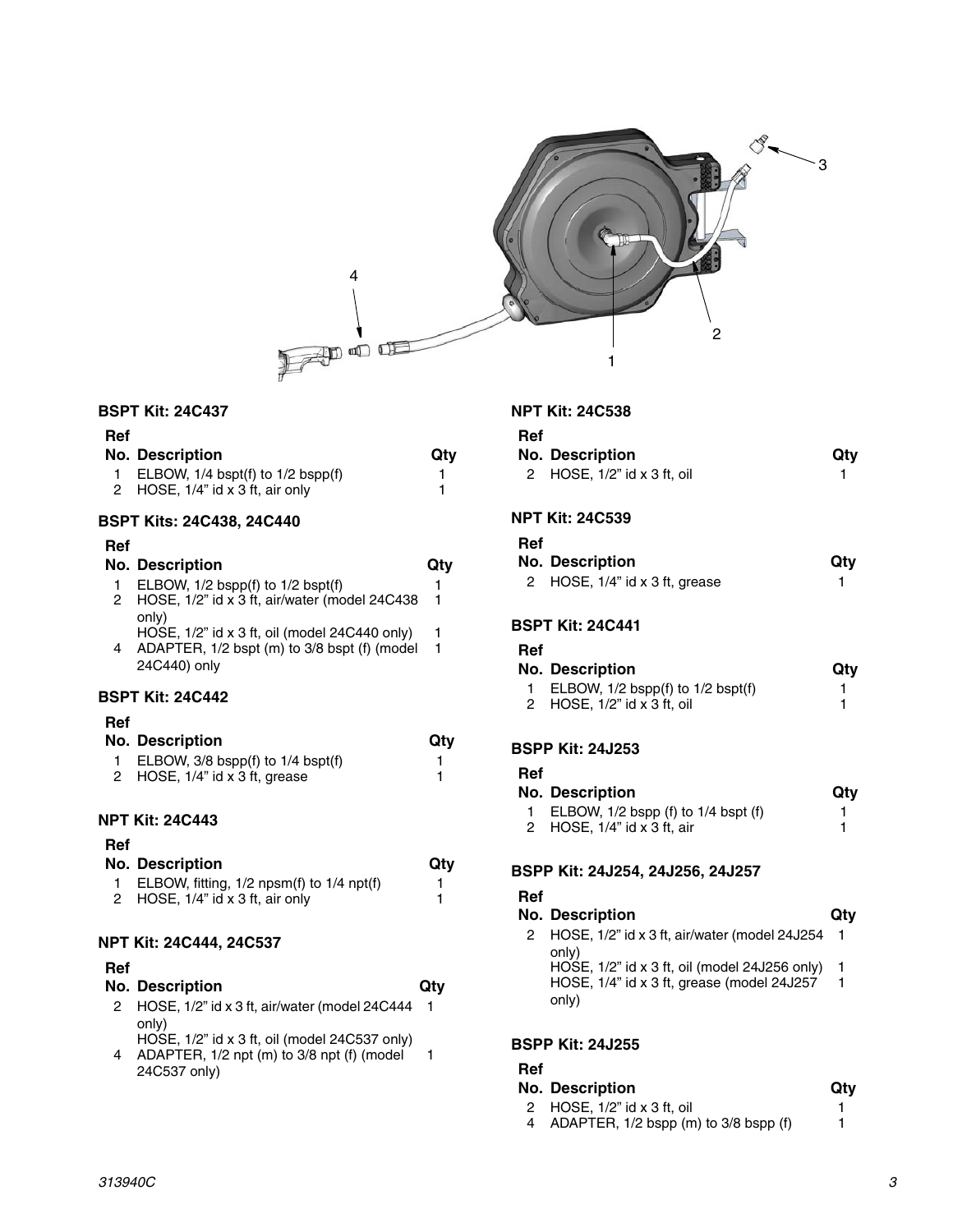

# **BSPT Kit: 24C437**

| Ref |                                         |     |
|-----|-----------------------------------------|-----|
|     | No. Description                         | Qtv |
|     | 1 ELBOW, $1/4$ bspt(f) to $1/2$ bspp(f) |     |
|     | 2 HOSE, 1/4" id x 3 ft, air only        |     |

#### **BSPT Kits: 24C438, 24C440**

#### **BSPT Kit: 24C442 Ref No. Description Qty** 1 ELBOW, 1/2 bspp(f) to 1/2 bspt(f) 1 2 HOSE, 1/2" id x 3 ft, air/water (model 24C438 only) HOSE, 1/2" id x 3 ft, oil (model 24C440 only) 1 4 ADAPTER, 1/2 bspt (m) to 3/8 bspt (f) (model 24C440) only

# **Ref**

| No. Description                         | Qtv |
|-----------------------------------------|-----|
| 1 ELBOW, $3/8$ bspp(f) to $1/4$ bspt(f) |     |
| 2 HOSE, $1/4$ " id x 3 ft, grease       |     |

# **NPT Kit: 24C443**

# **Ref**

| No. Description                               | Qtv |
|-----------------------------------------------|-----|
| ELBOW, fitting, $1/2$ npsm(f) to $1/4$ npt(f) |     |
| 2 HOSE, 1/4" id x 3 ft, air only              |     |

#### **NPT Kit: 24C444, 24C537**

## **Ref**

|   | <b>No. Description</b>                                 | Qtv |
|---|--------------------------------------------------------|-----|
|   | 2 HOSE, 1/2" id x 3 ft, air/water (model 24C444        |     |
|   | only)<br>HOSE, 1/2" id x 3 ft, oil (model 24C537 only) |     |
| 4 | ADAPTER, 1/2 npt (m) to 3/8 npt (f) (model             |     |

4 ADAPTER, 1/2 npt (m) to 3/8 npt (f) (model 24C537 only)

# **NPT Kit: 24C538**

1

1

|         | NP I KII: 24C538                                               |        |
|---------|----------------------------------------------------------------|--------|
| Ref     | <b>No. Description</b>                                         | Qty    |
| 2       | HOSE, 1/2" id x 3 ft, oil                                      | 1      |
|         | NPT Kit: 24C539                                                |        |
| Ref     |                                                                |        |
|         | <b>No. Description</b>                                         | Qty    |
| 2       | HOSE, 1/4" id x 3 ft, grease                                   | 1      |
|         | <b>BSPT Kit: 24C441</b>                                        |        |
| Ref     |                                                                |        |
|         | <b>No. Description</b>                                         | Qty    |
| 1.<br>2 | ELBOW, 1/2 bspp(f) to 1/2 bspt(f)<br>HOSE, 1/2" id x 3 ft, oil | 1<br>1 |
|         |                                                                |        |
|         | <b>BSPP Kit: 24J253</b>                                        |        |
| Ref     |                                                                |        |
|         | <b>No. Description</b>                                         |        |
|         |                                                                |        |

| No. Description                           | Qtv |
|-------------------------------------------|-----|
| 1 ELBOW, $1/2$ bspp (f) to $1/4$ bspt (f) |     |
| 2 HOSE, $1/4$ " id x 3 ft, air            |     |

# **BSPP Kit: 24J254, 24J256, 24J257**

| Ref |                                                                                                      |     |
|-----|------------------------------------------------------------------------------------------------------|-----|
|     | <b>No. Description</b>                                                                               | Qtv |
|     | HOSE, 1/2" id x 3 ft, air/water (model 24J254<br>only)                                               |     |
|     | HOSE, 1/2" id x 3 ft, oil (model 24J256 only)<br>HOSE, 1/4" id x 3 ft, grease (model 24J257<br>only) | 1   |

# **BSPP Kit: 24J255**

# **Ref**

# **No. Description Qty**

2 HOSE, 1/2" id x 3 ft, oil 1<br>4 ADAPTER, 1/2 bspp (m) to 3/8 bspp (f) 1 4 ADAPTER,  $1/2$  bspp (m) to  $3/8$  bspp (f)